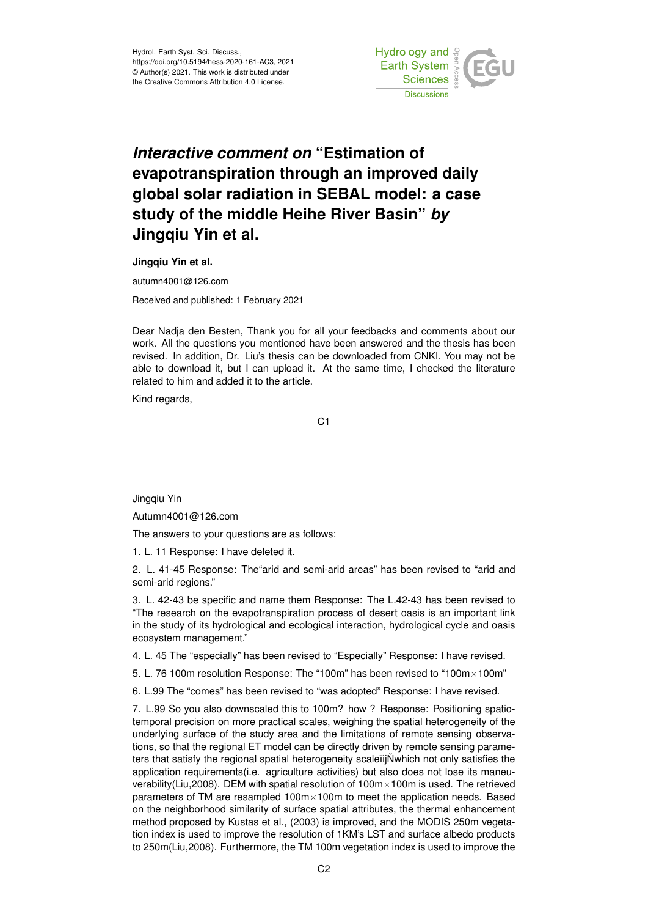

## *Interactive comment on* **"Estimation of evapotranspiration through an improved daily global solar radiation in SEBAL model: a case study of the middle Heihe River Basin"** *by* **Jingqiu Yin et al.**

**Jingqiu Yin et al.**

autumn4001@126.com

Received and published: 1 February 2021

Dear Nadja den Besten, Thank you for all your feedbacks and comments about our work. All the questions you mentioned have been answered and the thesis has been revised. In addition, Dr. Liu's thesis can be downloaded from CNKI. You may not be able to download it, but I can upload it. At the same time, I checked the literature related to him and added it to the article.

Kind regards,

C1

Jingqiu Yin

Autumn4001@126.com

The answers to your questions are as follows:

1. L. 11 Response: I have deleted it.

2. L. 41-45 Response: The"arid and semi-arid areas" has been revised to "arid and semi-arid regions."

3. L. 42-43 be specific and name them Response: The L.42-43 has been revised to "The research on the evapotranspiration process of desert oasis is an important link in the study of its hydrological and ecological interaction, hydrological cycle and oasis ecosystem management."

4. L. 45 The "especially" has been revised to "Especially" Response: I have revised.

5. L. 76 100m resolution Response: The "100m" has been revised to "100m×100m"

6. L.99 The "comes" has been revised to "was adopted" Response: I have revised.

7. L.99 So you also downscaled this to 100m? how ? Response: Positioning spatiotemporal precision on more practical scales, weighing the spatial heterogeneity of the underlying surface of the study area and the limitations of remote sensing observations, so that the regional ET model can be directly driven by remote sensing parameters that satisfy the regional spatial heterogeneity scaleiijNwhich not only satisfies the application requirements(i.e. agriculture activities) but also does not lose its maneuverability(Liu,2008). DEM with spatial resolution of 100m×100m is used. The retrieved parameters of TM are resampled 100m×100m to meet the application needs. Based on the neighborhood similarity of surface spatial attributes, the thermal enhancement method proposed by Kustas et al., (2003) is improved, and the MODIS 250m vegetation index is used to improve the resolution of 1KM's LST and surface albedo products to 250m(Liu,2008). Furthermore, the TM 100m vegetation index is used to improve the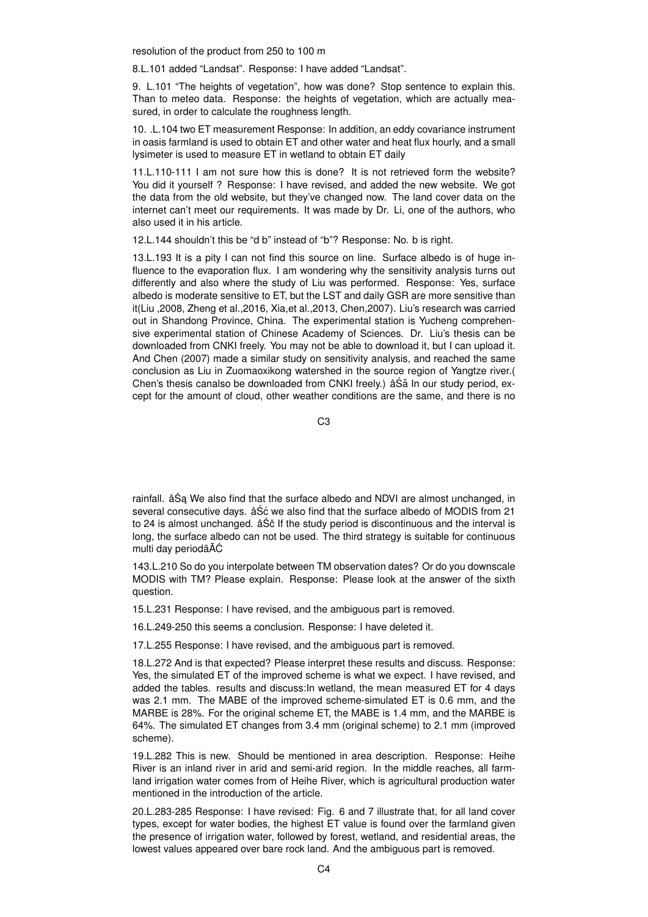resolution of the product from 250 to 100 m

8.L.101 added "Landsat". Response: I have added "Landsat".

9. L.101 "The heights of vegetation", how was done? Stop sentence to explain this. Than to meteo data. Response: the heights of vegetation, which are actually measured, in order to calculate the roughness length.

10. .L.104 two ET measurement Response: In addition, an eddy covariance instrument in oasis farmland is used to obtain ET and other water and heat flux hourly, and a small lysimeter is used to measure ET in wetland to obtain ET daily

11.L.110-111 I am not sure how this is done? It is not retrieved form the website? You did it yourself ? Response: I have revised, and added the new website. We got the data from the old website, but they've changed now. The land cover data on the internet can't meet our requirements. It was made by Dr. Li, one of the authors, who also used it in his article.

12.L.144 shouldn't this be "d b" instead of "b"? Response: No. b is right.

13.L.193 It is a pity I can not find this source on line. Surface albedo is of huge influence to the evaporation flux. I am wondering why the sensitivity analysis turns out differently and also where the study of Liu was performed. Response: Yes, surface albedo is moderate sensitive to ET, but the LST and daily GSR are more sensitive than it(Liu ,2008, Zheng et al.,2016, Xia,et al.,2013, Chen,2007). Liu's research was carried out in Shandong Province, China. The experimental station is Yucheng comprehensive experimental station of Chinese Academy of Sciences. Dr. Liu's thesis can be downloaded from CNKI freely. You may not be able to download it, but I can upload it. And Chen (2007) made a similar study on sensitivity analysis, and reached the same conclusion as Liu in Zuomaoxikong watershed in the source region of Yangtze river.( Chen's thesis canalso be downloaded from CNKI freely.) â Să In our study period, except for the amount of cloud, other weather conditions are the same, and there is no

C3

rainfall. âSa We also find that the surface albedo and NDVI are almost unchanged, in several consecutive days. âSć we also find that the surface albedo of MODIS from 21 to 24 is almost unchanged.  $\hat{a}\hat{S}\hat{c}$  If the study period is discontinuous and the interval is long, the surface albedo can not be used. The third strategy is suitable for continuous multi day periodãAĆ

143.L.210 So do you interpolate between TM observation dates? Or do you downscale MODIS with TM? Please explain. Response: Please look at the answer of the sixth question.

15.L.231 Response: I have revised, and the ambiguous part is removed.

16.L.249-250 this seems a conclusion. Response: I have deleted it.

17.L.255 Response: I have revised, and the ambiguous part is removed.

18.L.272 And is that expected? Please interpret these results and discuss. Response: Yes, the simulated ET of the improved scheme is what we expect. I have revised, and added the tables. results and discuss:In wetland, the mean measured ET for 4 days was 2.1 mm. The MABE of the improved scheme-simulated ET is 0.6 mm, and the MARBE is 28%. For the original scheme ET, the MABE is 1.4 mm, and the MARBE is 64%. The simulated ET changes from 3.4 mm (original scheme) to 2.1 mm (improved scheme).

19.L.282 This is new. Should be mentioned in area description. Response: Heihe River is an inland river in arid and semi-arid region. In the middle reaches, all farmland irrigation water comes from of Heihe River, which is agricultural production water mentioned in the introduction of the article.

20.L.283-285 Response: I have revised: Fig. 6 and 7 illustrate that, for all land cover types, except for water bodies, the highest ET value is found over the farmland given the presence of irrigation water, followed by forest, wetland, and residential areas, the lowest values appeared over bare rock land. And the ambiguous part is removed.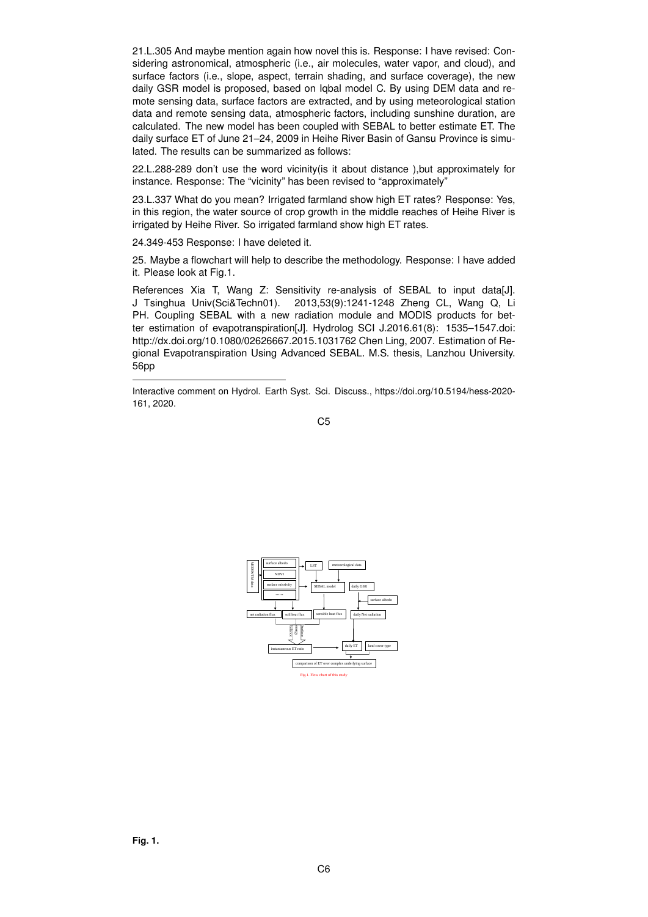21.L.305 And maybe mention again how novel this is. Response: I have revised: Considering astronomical, atmospheric (i.e., air molecules, water vapor, and cloud), and surface factors (i.e., slope, aspect, terrain shading, and surface coverage), the new daily GSR model is proposed, based on Iqbal model C. By using DEM data and remote sensing data, surface factors are extracted, and by using meteorological station data and remote sensing data, atmospheric factors, including sunshine duration, are calculated. The new model has been coupled with SEBAL to better estimate ET. The daily surface ET of June 21–24, 2009 in Heihe River Basin of Gansu Province is simulated. The results can be summarized as follows:

22.L.288-289 don't use the word vicinity(is it about distance ),but approximately for instance. Response: The "vicinity" has been revised to "approximately"

23.L.337 What do you mean? Irrigated farmland show high ET rates? Response: Yes, in this region, the water source of crop growth in the middle reaches of Heihe River is irrigated by Heihe River. So irrigated farmland show high ET rates.

24.349-453 Response: I have deleted it.

25. Maybe a flowchart will help to describe the methodology. Response: I have added it. Please look at Fig.1.

References Xia T, Wang Z: Sensitivity re-analysis of SEBAL to input data[J]. J Tsinghua Univ(Sci&Techn01). 2013,53(9):1241-1248 Zheng CL, Wang Q, Li PH. Coupling SEBAL with a new radiation module and MODIS products for better estimation of evapotranspiration[J]. Hydrolog SCI J.2016.61(8): 1535–1547.doi: http://dx.doi.org/10.1080/02626667.2015.1031762 Chen Ling, 2007. Estimation of Regional Evapotranspiration Using Advanced SEBAL. M.S. thesis, Lanzhou University. 56pp

Interactive comment on Hydrol. Earth Syst. Sci. Discuss., https://doi.org/10.5194/hess-2020- 161, 2020.

C5

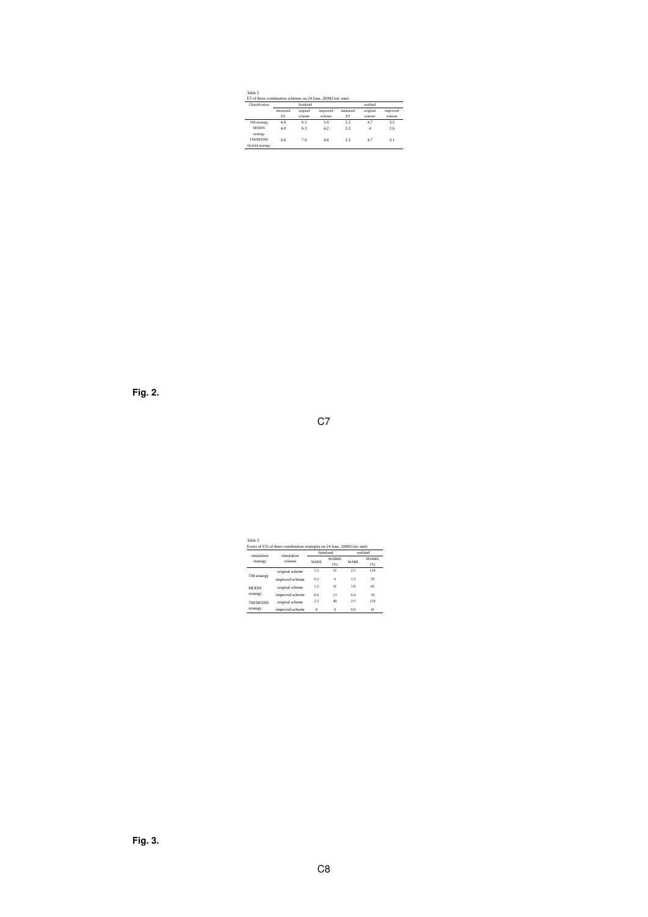| Table 2                                           |  |  |
|---------------------------------------------------|--|--|
| ET of three combination schemes on 24 June 2009/L |  |  |

| Classification           | farmland       |                    |                    | wetland        |                    |                    |  |
|--------------------------|----------------|--------------------|--------------------|----------------|--------------------|--------------------|--|
|                          | measured<br>ЕT | original<br>scheme | improved<br>scheme | measured<br>ET | original<br>scheme | improved<br>scheme |  |
| TM strategy              | 4.8            | 63                 | 50                 | 22             | 47                 | 3.5                |  |
| <b>MODIS</b><br>strategy | 48             | 63                 | 42                 | 22             | 4                  | 26                 |  |
| <b>TM/MODIS</b>          | 48             | 70                 | 48                 | 22             | 47                 | 3.1                |  |

**Fig. 2.**

| ٠ |    |  |
|---|----|--|
|   | I  |  |
| × | ۰. |  |

Errors of ETs of three combination strategies on 24 June, 2009(Unit: mm) simulation strategy simulation scheme farmland wetland  $\begin{array}{ccc} \text{MABRE} & \text{MABRE} \\ \text{(%)} & \text{MABE} \end{array}$ MABRE (%)

Table 3

|                 | original scheme | 15       | 31       | 25  | 114 |
|-----------------|-----------------|----------|----------|-----|-----|
| TM strategy     | improved scheme | 02       | ₫        | 13  | 59  |
| <b>MODIS</b>    | original scheme | 15       | 31       | 1.8 | 82  |
| strategy        | improved scheme | 0.6      | 13       | 0.4 | 18  |
| <b>TM/MODIS</b> | original scheme | 22       | 46       | 25  | 114 |
| strategy        | improved scheme | $\Omega$ | $\Omega$ | 09  | 41  |